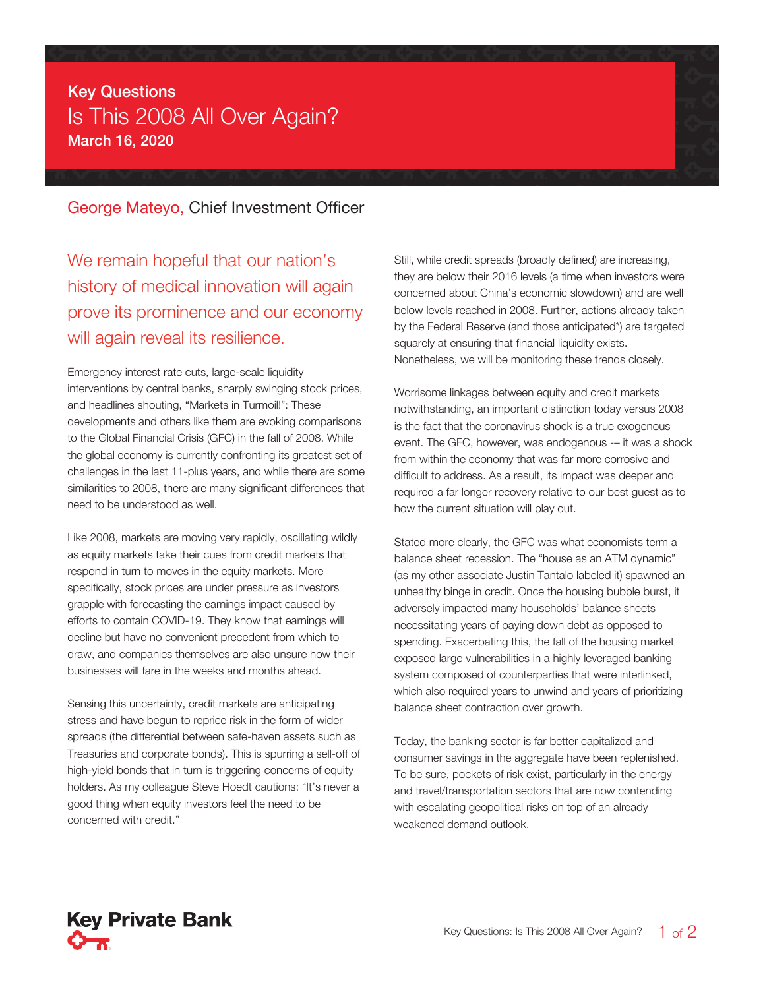## Key Questions Is This 2008 All Over Again? March 16, 2020

## George Mateyo, Chief Investment Officer

We remain hopeful that our nation's history of medical innovation will again prove its prominence and our economy will again reveal its resilience.

Emergency interest rate cuts, large-scale liquidity interventions by central banks, sharply swinging stock prices, and headlines shouting, "Markets in Turmoil!": These developments and others like them are evoking comparisons to the Global Financial Crisis (GFC) in the fall of 2008. While the global economy is currently confronting its greatest set of challenges in the last 11-plus years, and while there are some similarities to 2008, there are many significant differences that need to be understood as well.

Like 2008, markets are moving very rapidly, oscillating wildly as equity markets take their cues from credit markets that respond in turn to moves in the equity markets. More specifically, stock prices are under pressure as investors grapple with forecasting the earnings impact caused by efforts to contain COVID-19. They know that earnings will decline but have no convenient precedent from which to draw, and companies themselves are also unsure how their businesses will fare in the weeks and months ahead.

Sensing this uncertainty, credit markets are anticipating stress and have begun to reprice risk in the form of wider spreads (the differential between safe-haven assets such as Treasuries and corporate bonds). This is spurring a sell-off of high-yield bonds that in turn is triggering concerns of equity holders. As my colleague Steve Hoedt cautions: "It's never a good thing when equity investors feel the need to be concerned with credit."

Still, while credit spreads (broadly defined) are increasing, they are below their 2016 levels (a time when investors were concerned about China's economic slowdown) and are well below levels reached in 2008. Further, actions already taken by the Federal Reserve (and those anticipated\*) are targeted squarely at ensuring that financial liquidity exists. Nonetheless, we will be monitoring these trends closely.

Worrisome linkages between equity and credit markets notwithstanding, an important distinction today versus 2008 is the fact that the coronavirus shock is a true exogenous event. The GFC, however, was endogenous -– it was a shock from within the economy that was far more corrosive and difficult to address. As a result, its impact was deeper and required a far longer recovery relative to our best guest as to how the current situation will play out.

Stated more clearly, the GFC was what economists term a balance sheet recession. The "house as an ATM dynamic" (as my other associate Justin Tantalo labeled it) spawned an unhealthy binge in credit. Once the housing bubble burst, it adversely impacted many households' balance sheets necessitating years of paying down debt as opposed to spending. Exacerbating this, the fall of the housing market exposed large vulnerabilities in a highly leveraged banking system composed of counterparties that were interlinked, which also required years to unwind and years of prioritizing balance sheet contraction over growth.

Today, the banking sector is far better capitalized and consumer savings in the aggregate have been replenished. To be sure, pockets of risk exist, particularly in the energy and travel/transportation sectors that are now contending with escalating geopolitical risks on top of an already weakened demand outlook.